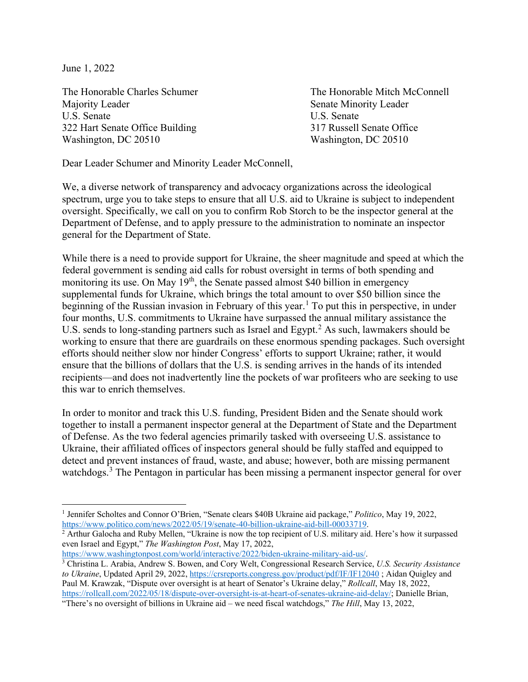June 1, 2022

 $\overline{a}$ 

Majority Leader Senate Minority Leader U.S. Senate U.S. Senate 322 Hart Senate Office Building 317 Russell Senate Office Washington, DC 20510 Washington, DC 20510

The Honorable Charles Schumer The Honorable Mitch McConnell

Dear Leader Schumer and Minority Leader McConnell,

We, a diverse network of transparency and advocacy organizations across the ideological spectrum, urge you to take steps to ensure that all U.S. aid to Ukraine is subject to independent oversight. Specifically, we call on you to confirm Rob Storch to be the inspector general at the Department of Defense, and to apply pressure to the administration to nominate an inspector general for the Department of State.

While there is a need to provide support for Ukraine, the sheer magnitude and speed at which the federal government is sending aid calls for robust oversight in terms of both spending and monitoring its use. On May 19<sup>th</sup>, the Senate passed almost \$40 billion in emergency supplemental funds for Ukraine, which brings the total amount to over \$50 billion since the beginning of the Russian invasion in February of this year.<sup>[1](#page-0-0)</sup> To put this in perspective, in under four months, U.S. commitments to Ukraine have surpassed the annual military assistance the U.S. sends to long-standing partners such as Israel and Egypt.<sup>[2](#page-0-1)</sup> As such, lawmakers should be working to ensure that there are guardrails on these enormous spending packages. Such oversight efforts should neither slow nor hinder Congress' efforts to support Ukraine; rather, it would ensure that the billions of dollars that the U.S. is sending arrives in the hands of its intended recipients—and does not inadvertently line the pockets of war profiteers who are seeking to use this war to enrich themselves.

In order to monitor and track this U.S. funding, President Biden and the Senate should work together to install a permanent inspector general at the Department of State and the Department of Defense. As the two federal agencies primarily tasked with overseeing U.S. assistance to Ukraine, their affiliated offices of inspectors general should be fully staffed and equipped to detect and prevent instances of fraud, waste, and abuse; however, both are missing permanent watchdogs.<sup>[3](#page-0-2)</sup> The Pentagon in particular has been missing a permanent inspector general for over

[https://www.washingtonpost.com/world/interactive/2022/biden-ukraine-military-aid-us/.](https://www.washingtonpost.com/world/interactive/2022/biden-ukraine-military-aid-us/)

<span id="page-0-0"></span><sup>1</sup> Jennifer Scholtes and Connor O'Brien, "Senate clears \$40B Ukraine aid package," *Politico*, May 19, 2022, https://www.politico.com/news/2022/05/19/senate-40-billion-ukraine-aid-bill-00033719.<br><sup>2</sup> Arthur Galocha and Ruby Mellen, "Ukraine is now the top recipient of U.S. military aid. Here's how it surpassed

<span id="page-0-1"></span>even Israel and Egypt," *The Washington Post*, May 17, 2022,

<span id="page-0-2"></span><sup>3</sup> Christina L. Arabia, Andrew S. Bowen, and Cory Welt, Congressional Research Service, *U.S. Security Assistance to Ukraine*, Updated April 29, 2022,<https://crsreports.congress.gov/product/pdf/IF/IF12040> ; Aidan Quigley and Paul M. Krawzak, "Dispute over oversight is at heart of Senator's Ukraine delay," *Rollcall*, May 18, 2022, [https://rollcall.com/2022/05/18/dispute-over-oversight-is-at-heart-of-senates-ukraine-aid-delay/;](https://rollcall.com/2022/05/18/dispute-over-oversight-is-at-heart-of-senates-ukraine-aid-delay/) Danielle Brian,

<sup>&</sup>quot;There's no oversight of billions in Ukraine aid – we need fiscal watchdogs," *The Hill*, May 13, 2022,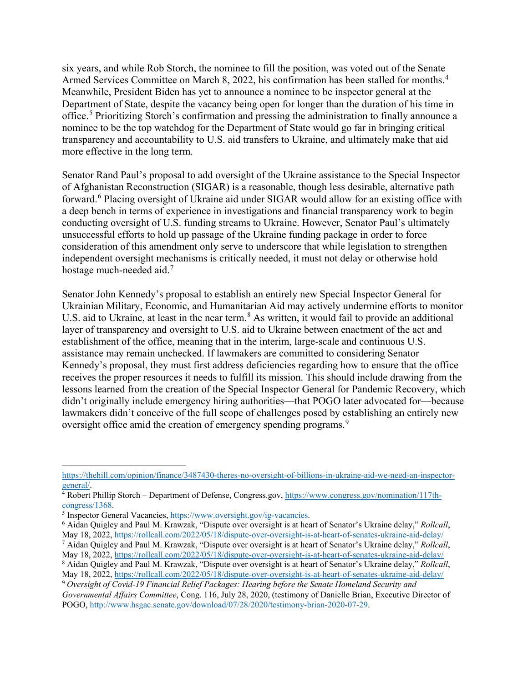six years, and while Rob Storch, the nominee to fill the position, was voted out of the Senate Armed Services Committee on March 8, 2022, his confirmation has been stalled for months.<sup>[4](#page-1-0)</sup> Meanwhile, President Biden has yet to announce a nominee to be inspector general at the Department of State, despite the vacancy being open for longer than the duration of his time in office.<sup>[5](#page-1-1)</sup> Prioritizing Storch's confirmation and pressing the administration to finally announce a nominee to be the top watchdog for the Department of State would go far in bringing critical transparency and accountability to U.S. aid transfers to Ukraine, and ultimately make that aid more effective in the long term.

Senator Rand Paul's proposal to add oversight of the Ukraine assistance to the Special Inspector of Afghanistan Reconstruction (SIGAR) is a reasonable, though less desirable, alternative path forward.<sup>[6](#page-1-2)</sup> Placing oversight of Ukraine aid under SIGAR would allow for an existing office with a deep bench in terms of experience in investigations and financial transparency work to begin conducting oversight of U.S. funding streams to Ukraine. However, Senator Paul's ultimately unsuccessful efforts to hold up passage of the Ukraine funding package in order to force consideration of this amendment only serve to underscore that while legislation to strengthen independent oversight mechanisms is critically needed, it must not delay or otherwise hold hostage much-needed aid.<sup>[7](#page-1-3)</sup>

Senator John Kennedy's proposal to establish an entirely new Special Inspector General for Ukrainian Military, Economic, and Humanitarian Aid may actively undermine efforts to monitor U.S. aid to Ukraine, at least in the near term.<sup>[8](#page-1-4)</sup> As written, it would fail to provide an additional layer of transparency and oversight to U.S. aid to Ukraine between enactment of the act and establishment of the office, meaning that in the interim, large-scale and continuous U.S. assistance may remain unchecked. If lawmakers are committed to considering Senator Kennedy's proposal, they must first address deficiencies regarding how to ensure that the office receives the proper resources it needs to fulfill its mission. This should include drawing from the lessons learned from the creation of the Special Inspector General for Pandemic Recovery, which didn't originally include emergency hiring authorities—that POGO later advocated for—because lawmakers didn't conceive of the full scope of challenges posed by establishing an entirely new oversight office amid the creation of emergency spending programs.<sup>[9](#page-1-5)</sup>

 $\overline{a}$ [https://thehill.com/opinion/finance/3487430-theres-no-oversight-of-billions-in-ukraine-aid-we-need-an-inspector-](https://thehill.com/opinion/finance/3487430-theres-no-oversight-of-billions-in-ukraine-aid-we-need-an-inspector-general/)

<span id="page-1-0"></span>[general/.](https://thehill.com/opinion/finance/3487430-theres-no-oversight-of-billions-in-ukraine-aid-we-need-an-inspector-general/)<br><sup>4</sup> Robert Phillip Storch – Department of Defense, Congress.gov, https://www.congress.gov/nomination/117th-<br>congress/1368.

<span id="page-1-2"></span><span id="page-1-1"></span><sup>&</sup>lt;sup>5</sup> Inspector General Vacancies[, https://www.oversight.gov/ig-vacancies.](https://www.oversight.gov/ig-vacancies)<br><sup>6</sup> Aidan Quigley and Paul M. Krawzak, "Dispute over oversight is at heart of Senator's Ukraine delay," *Rollcall*, May 18, 2022,<https://rollcall.com/2022/05/18/dispute-over-oversight-is-at-heart-of-senates-ukraine-aid-delay/>

<span id="page-1-3"></span><sup>7</sup> Aidan Quigley and Paul M. Krawzak, "Dispute over oversight is at heart of Senator's Ukraine delay," *Rollcall*, May 18, 2022,<https://rollcall.com/2022/05/18/dispute-over-oversight-is-at-heart-of-senates-ukraine-aid-delay/> <sup>8</sup> Aidan Quigley and Paul M. Krawzak, "Dispute over oversight is at heart of Senator's Ukraine delay," *Rollcall*,

<span id="page-1-4"></span>May 18, 2022,<https://rollcall.com/2022/05/18/dispute-over-oversight-is-at-heart-of-senates-ukraine-aid-delay/> <sup>9</sup> *Oversight of Covid-19 Financial Relief Packages: Hearing before the Senate Homeland Security and* 

<span id="page-1-5"></span>*Governmental Affairs Committee*, Cong. 116, July 28, 2020, (testimony of Danielle Brian, Executive Director of POGO, [http://www.hsgac.senate.gov/download/07/28/2020/testimony-brian-2020-07-29.](http://www.hsgac.senate.gov/download/07/28/2020/testimony-brian-2020-07-29)